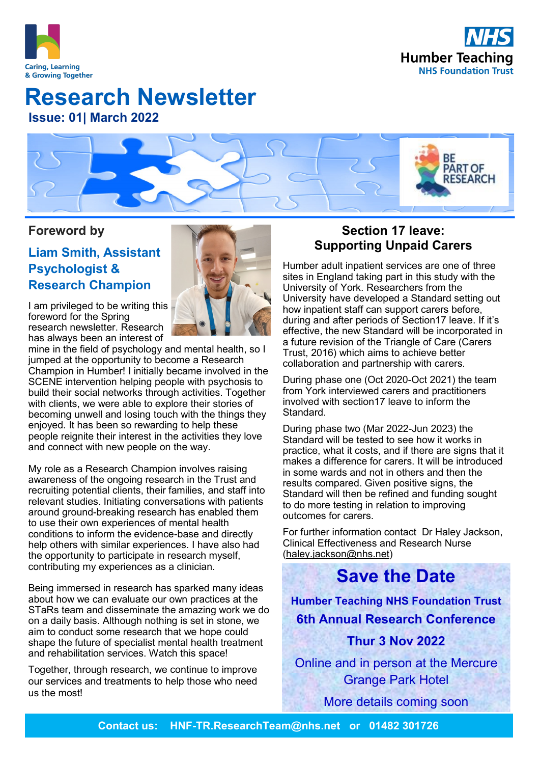



# **Issue: 01| March 2022 Research Newsletter**

RF **PART OF ESEARCH** 

### **Foreword by**

## **Liam Smith, Assistant Psychologist & Research Champion**



I am privileged to be writing this foreword for the Spring research newsletter. Research has always been an interest of

mine in the field of psychology and mental health, so I jumped at the opportunity to become a Research Champion in Humber! I initially became involved in the SCENE intervention helping people with psychosis to build their social networks through activities. Together with clients, we were able to explore their stories of becoming unwell and losing touch with the things they enjoyed. It has been so rewarding to help these people reignite their interest in the activities they love and connect with new people on the way.

My role as a Research Champion involves raising awareness of the ongoing research in the Trust and recruiting potential clients, their families, and staff into relevant studies. Initiating conversations with patients around ground-breaking research has enabled them to use their own experiences of mental health conditions to inform the evidence-base and directly help others with similar experiences. I have also had the opportunity to participate in research myself, contributing my experiences as a clinician.

Being immersed in research has sparked many ideas about how we can evaluate our own practices at the STaRs team and disseminate the amazing work we do on a daily basis. Although nothing is set in stone, we aim to conduct some research that we hope could shape the future of specialist mental health treatment and rehabilitation services. Watch this space!

Together, through research, we continue to improve our services and treatments to help those who need us the most!

### **Section 17 leave: Supporting Unpaid Carers**

Humber adult inpatient services are one of three sites in England taking part in this study with the University of York. Researchers from the University have developed a Standard setting out how inpatient staff can support carers before, during and after periods of Section17 leave. If it's effective, the new Standard will be incorporated in a future revision of the Triangle of Care (Carers Trust, 2016) which aims to achieve better collaboration and partnership with carers.

During phase one (Oct 2020-Oct 2021) the team from York interviewed carers and practitioners involved with section17 leave to inform the Standard.

During phase two (Mar 2022-Jun 2023) the Standard will be tested to see how it works in practice, what it costs, and if there are signs that it makes a difference for carers. It will be introduced in some wards and not in others and then the results compared. Given positive signs, the Standard will then be refined and funding sought to do more testing in relation to improving outcomes for carers.

For further information contact Dr Haley Jackson, Clinical Effectiveness and Research Nurse ([haley.jackson@nhs.net\)](mailto:haley.jackson@nhs.net)

# **Save the Date**

**Humber Teaching NHS Foundation Trust 6th Annual Research Conference**

### **Thur 3 Nov 2022**

Online and in person at the Mercure Grange Park Hotel

More details coming soon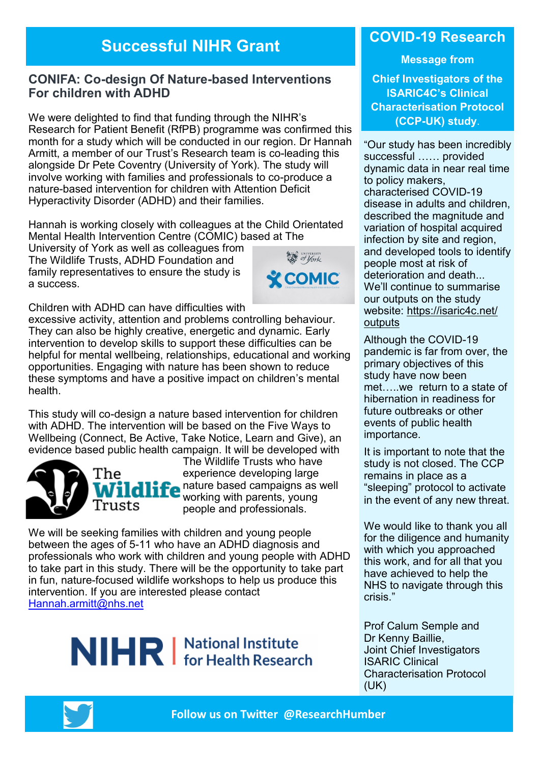# **Successful NIHR Grant**

### **CONIFA: Co-design Of Nature-based Interventions For children with ADHD**

We were delighted to find that funding through the NIHR's Research for Patient Benefit (RfPB) programme was confirmed this month for a study which will be conducted in our region. Dr Hannah Armitt, a member of our Trust's Research team is co-leading this alongside Dr Pete Coventry (University of York). The study will involve working with families and professionals to co-produce a nature-based intervention for children with Attention Deficit Hyperactivity Disorder (ADHD) and their families.

Hannah is working closely with colleagues at the Child Orientated Mental Health Intervention Centre (COMIC) based at The

University of York as well as colleagues from The Wildlife Trusts, ADHD Foundation and family representatives to ensure the study is a success.



Children with ADHD can have difficulties with

excessive activity, attention and problems controlling behaviour. They can also be highly creative, energetic and dynamic. Early intervention to develop skills to support these difficulties can be helpful for mental wellbeing, relationships, educational and working opportunities. Engaging with nature has been shown to reduce these symptoms and have a positive impact on children's mental health.

This study will co-design a nature based intervention for children with ADHD. The intervention will be based on the Five Ways to Wellbeing (Connect, Be Active, Take Notice, Learn and Give), an evidence based public health campaign. It will be developed with



The Wildlife Trusts who have experience developing large nature based campaigns as well working with parents, young people and professionals.

We will be seeking families with children and young people between the ages of 5-11 who have an ADHD diagnosis and professionals who work with children and young people with ADHD to take part in this study. There will be the opportunity to take part in fun, nature-focused wildlife workshops to help us produce this intervention. If you are interested please contact [Hannah.armitt@nhs.net](mailto:Hannah.armitt@nhs.net)

# NIHR | National Institute

### **COVID-19 Research**

**Message from** 

**Chief Investigators of the ISARIC4C's Clinical Characterisation Protocol (CCP-UK) study**.

"Our study has been incredibly successful …… provided dynamic data in near real time to policy makers, characterised COVID-19 disease in adults and children, described the magnitude and variation of hospital acquired infection by site and region, and developed tools to identify people most at risk of deterioration and death We'll continue to summarise our outputs on the study website: [https://isaric4c.net/](https://isaric4c.net/outputs) [outputs](https://isaric4c.net/outputs)

Although the COVID-19 pandemic is far from over, the primary objectives of this study have now been met…..we return to a state of hibernation in readiness for future outbreaks or other events of public health importance.

It is important to note that the study is not closed. The CCP remains in place as a "sleeping" protocol to activate in the event of any new threat.

We would like to thank you all for the diligence and humanity with which you approached this work, and for all that you have achieved to help the NHS to navigate through this crisis."

Prof Calum Semple and Dr Kenny Baillie, Joint Chief Investigators ISARIC Clinical Characterisation Protocol (UK)

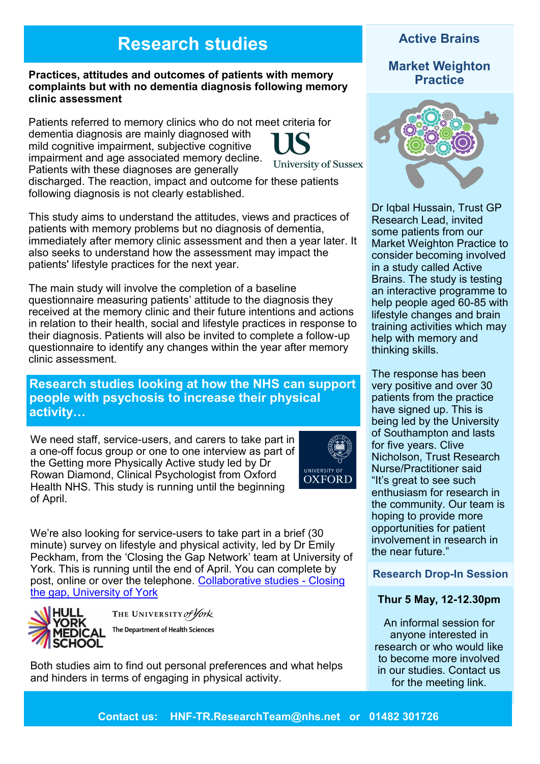# **Research studies**

#### **Practices, attitudes and outcomes of patients with memory complaints but with no dementia diagnosis following memory clinic assessment**

Patients referred to memory clinics who do not meet criteria for dementia diagnosis are mainly diagnosed with mild cognitive impairment, subjective cognitive impairment and age associated memory decline. **University of Sussex** Patients with these diagnoses are generally discharged. The reaction, impact and outcome for these patients following diagnosis is not clearly established.

This study aims to understand the attitudes, views and practices of patients with memory problems but no diagnosis of dementia, immediately after memory clinic assessment and then a year later. It also seeks to understand how the assessment may impact the patients' lifestyle practices for the next year.

The main study will involve the completion of a baseline questionnaire measuring patients' attitude to the diagnosis they received at the memory clinic and their future intentions and actions in relation to their health, social and lifestyle practices in response to their diagnosis. Patients will also be invited to complete a follow-up questionnaire to identify any changes within the year after memory clinic assessment.

### **Research studies looking at how the NHS can support people with psychosis to increase their physical activity…**

We need staff, service-users, and carers to take part in a one-off focus group or one to one interview as part of the Getting more Physically Active study led by Dr Rowan Diamond, Clinical Psychologist from Oxford Health NHS. This study is running until the beginning of April.



We're also looking for service-users to take part in a brief (30 minute) survey on lifestyle and physical activity, led by Dr Emily Peckham, from the 'Closing the Gap Network' team at University of York. This is running until the end of April. You can complete by post, online or over the telephone. [Collaborative studies](https://www.york.ac.uk/healthsciences/closing-the-gap/cohort/collaboration/) - Closing [the gap, University of York](https://www.york.ac.uk/healthsciences/closing-the-gap/cohort/collaboration/)



THE UNIVERSITY of York

The Department of Health Sciences

Both studies aim to find out personal preferences and what helps and hinders in terms of engaging in physical activity.

### **Active Brains**

### **Market Weighton Practice**



Dr Iqbal Hussain, Trust GP Research Lead, invited some patients from our Market Weighton Practice to consider becoming involved in a study called Active Brains. The study is testing an interactive programme to help people aged 60-85 with lifestyle changes and brain training activities which may help with memory and thinking skills.

The response has been very positive and over 30 patients from the practice have signed up. This is being led by the University of Southampton and lasts for five years. Clive Nicholson, Trust Research Nurse/Practitioner said "It's great to see such enthusiasm for research in the community. Our team is hoping to provide more opportunities for patient involvement in research in the near future."

#### **Research Drop-In Session**

#### **Thur 5 May, 12-12.30pm**

An informal session for anyone interested in research or who would like to become more involved in our studies. Contact us for the meeting link.